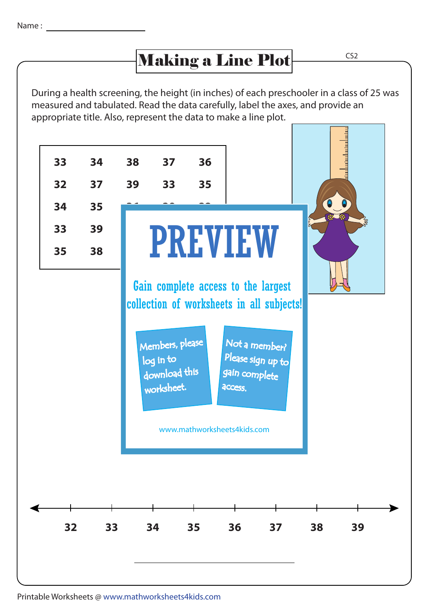## Making a Line Plot CS2

During a health screening, the height (in inches) of each preschooler in a class of 25 was measured and tabulated. Read the data carefully, label the axes, and provide an appropriate title. Also, represent the data to make a line plot.



Printable Worksheets @ www.mathworksheets4kids.com